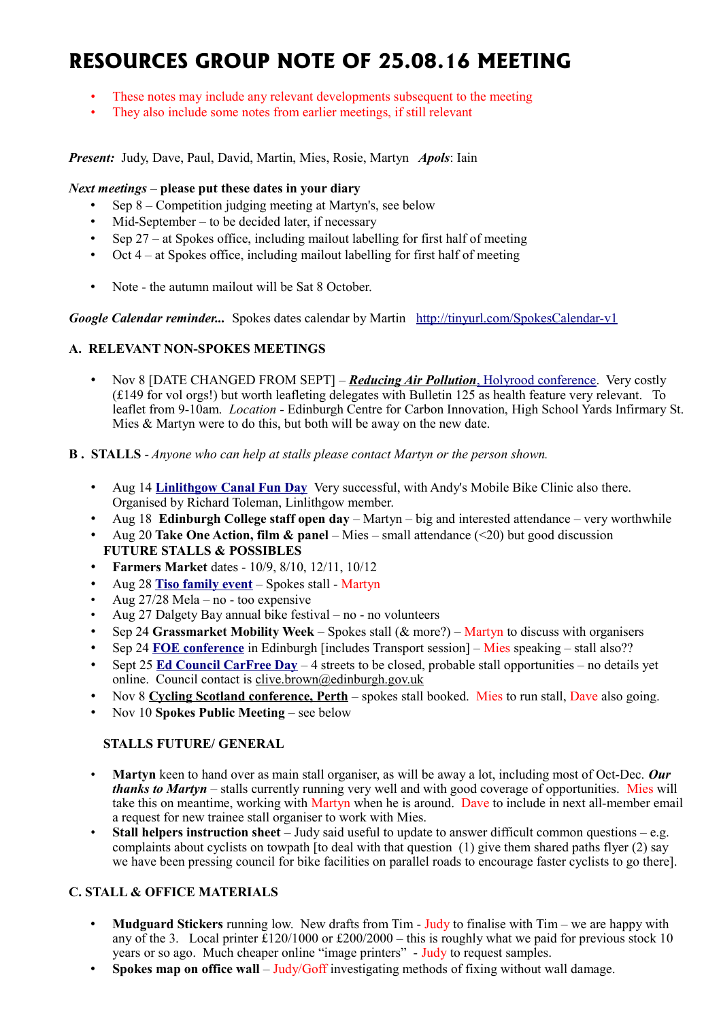# **RESOURCES GROUP NOTE OF 25.08.16 MEETING**

- These notes may include any relevant developments subsequent to the meeting
- They also include some notes from earlier meetings, if still relevant

*Present:* Judy, Dave, Paul, David, Martin, Mies, Rosie, Martyn *Apols*: Iain

## *Next meetings* – **please put these dates in your diary**

- Sep 8 Competition judging meeting at Martyn's, see below
- $Mid-September to be decided later, if necessary$
- Sep  $27 at$  Spokes office, including mailout labelling for first half of meeting
- Oct 4 at Spokes office, including mailout labelling for first half of meeting
- Note the autumn mailout will be Sat 8 October.

*Google Calendar reminder...* Spokes dates calendar by Martin <http://tinyurl.com/SpokesCalendar-v1>

# **A. RELEVANT NON-SPOKES MEETINGS**

- Nov 8 [DATE CHANGED FROM SEPT] *[Reducing Air Pollution](https://www.holyrood.com/event/reducing-air-pollution)*[, Holyrood conference.](https://www.holyrood.com/event/reducing-air-pollution) Very costly (£149 for vol orgs!) but worth leafleting delegates with Bulletin 125 as health feature very relevant. To leaflet from 9-10am. *Location* - Edinburgh Centre for Carbon Innovation, High School Yards Infirmary St. Mies & Martyn were to do this, but both will be away on the new date.
- **B . STALLS** *Anyone who can help at stalls please contact Martyn or the person shown.*
	- Aug 14 **[Linlithgow Canal Fun Day](https://twitter.com/SpokesLothian/status/766242006607728640)** Very successful, with Andy's Mobile Bike Clinic also there. Organised by Richard Toleman, Linlithgow member.
	- Aug 18 **Edinburgh College staff open day** Martyn big and interested attendance very worthwhile
	- Aug 20 **Take One Action, film & panel** Mies small attendance (<20) but good discussion **FUTURE STALLS & POSSIBLES**
	- **Farmers Market** dates 10/9, 8/10, 12/11, 10/12
	- Aug 28 **[Tiso family event](https://twitter.com/SpokesLothian/status/769237404440006656)** Spokes stall Martyn
	- Aug 27/28 Mela no too expensive
	- Aug 27 Dalgety Bay annual bike festival no no volunteers
	- Sep 24 **Grassmarket Mobility Week** Spokes stall (& more?) Martyn to discuss with organisers
	- Sep 24 **[FOE conference](https://www.eventbrite.co.uk/e/activists-assembly-working-together-for-a-fossil-free-scotland-tickets-26819860926)** in Edinburgh [includes Transport session] Mies speaking stall also??
	- Sept 25 **[Ed Council CarFree Day](https://www.google.co.uk/url?sa=t&rct=j&q=&esrc=s&source=web&cd=1&ved=0ahUKEwip8fCPyeHOAhXErxoKHcn9D_QQFggcMAA&url=http://www.edinburgh.gov.uk/download/meetings/id/50116/item_710_-_car_free_sunday_2016&usg=AFQjCNEx-n4Vz4aoDDf7Ru-4riiJvZnj7w&sig2=y_gGCR2qqoRd1bjK2Rr2Cg&cad=rja)** 4 streets to be closed, probable stall opportunities no details yet online. Council contact is [clive.brown@edinburgh.gov.uk](mailto:clive.brown@edinburgh.gov.uk)
	- Nov 8 **[Cycling Scotland conference, Perth](http://cyclingscotlandconference.org/)** spokes stall booked. Mies to run stall, Dave also going.
	- Nov 10 **Spokes Public Meeting** see below

## **STALLS FUTURE/ GENERAL**

- **Martyn** keen to hand over as main stall organiser, as will be away a lot, including most of Oct-Dec. *Our thanks to Martyn* – stalls currently running very well and with good coverage of opportunities. Mies will take this on meantime, working with Martyn when he is around. Dave to include in next all-member email a request for new trainee stall organiser to work with Mies.
- **Stall helpers instruction sheet** Judy said useful to update to answer difficult common questions e.g. complaints about cyclists on towpath [to deal with that question  $(1)$  give them shared paths flyer  $(2)$  say we have been pressing council for bike facilities on parallel roads to encourage faster cyclists to go there].

# **C. STALL & OFFICE MATERIALS**

- **Mudguard Stickers** running low. New drafts from Tim Judy to finalise with Tim we are happy with any of the 3. Local printer  $\tilde{\text{E}}120/1000$  or  $\text{E}200/2000$  – this is roughly what we paid for previous stock 10 years or so ago. Much cheaper online "image printers" - Judy to request samples.
- **Spokes map on office wall** Judy/Goff investigating methods of fixing without wall damage.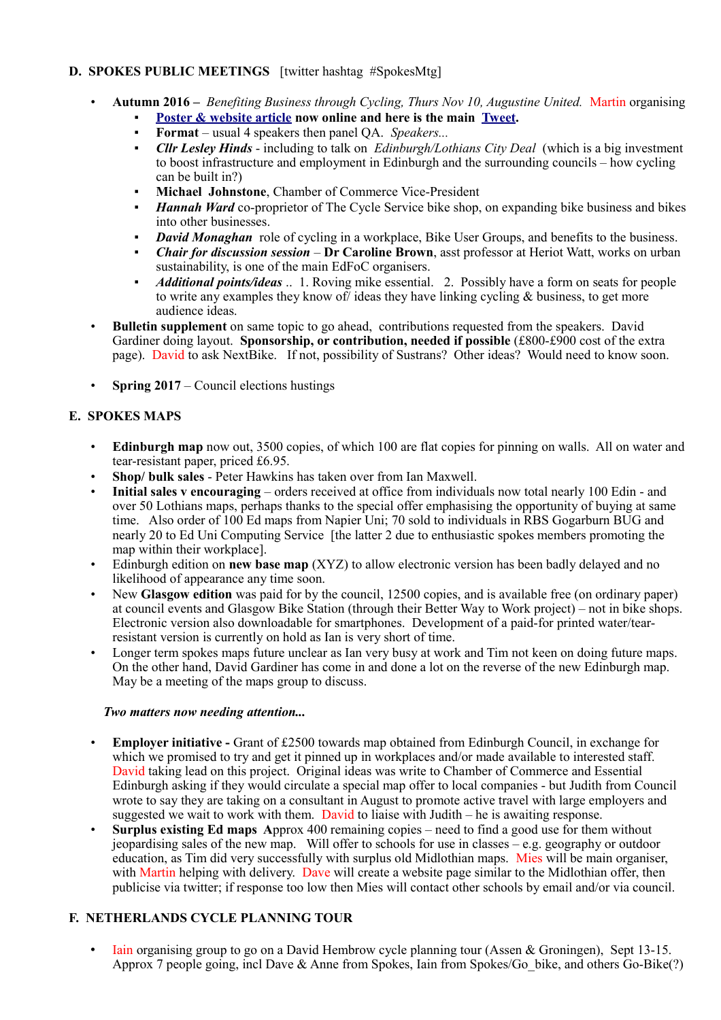# **D. SPOKES PUBLIC MEETINGS** [twitter hashtag #SpokesMtg]

- **Autumn 2016 –** *Benefiting Business through Cycling, Thurs Nov 10, Augustine United.* Martin organising
	- **[Poster & website article](http://www.spokes.org.uk/2016/08/public-meeting-benefiting-business-through-cycling/) now online and here is the main [Tweet.](https://twitter.com/SpokesLothian/status/769474111689089024)**
	- **Format** usual 4 speakers then panel QA. *Speakers...*
	- *Cllr Lesley Hinds* including to talk on *Edinburgh/Lothians City Deal* (which is a big investment to boost infrastructure and employment in Edinburgh and the surrounding councils – how cycling can be built in?)
	- **Michael Johnstone**, Chamber of Commerce Vice-President
	- *Hannah Ward* co-proprietor of The Cycle Service bike shop, on expanding bike business and bikes into other businesses.
	- *David Monaghan* role of cycling in a workplace, Bike User Groups, and benefits to the business.
	- *Chair for discussion session* **Dr Caroline Brown**, asst professor at Heriot Watt, works on urban sustainability, is one of the main EdFoC organisers.
	- *Additional points/ideas* .. 1. Roving mike essential. 2. Possibly have a form on seats for people to write any examples they know of ideas they have linking cycling  $\&$  business, to get more audience ideas.
- **Bulletin supplement** on same topic to go ahead, contributions requested from the speakers. David Gardiner doing layout. **Sponsorship, or contribution, needed if possible** (£800-£900 cost of the extra page). David to ask NextBike. If not, possibility of Sustrans? Other ideas? Would need to know soon.
- **Spring 2017** Council elections hustings

# **E. SPOKES MAPS**

- **Edinburgh map** now out, 3500 copies, of which 100 are flat copies for pinning on walls. All on water and tear-resistant paper, priced £6.95.
- **Shop/ bulk sales** Peter Hawkins has taken over from Ian Maxwell.
- **Initial sales v encouraging** orders received at office from individuals now total nearly 100 Edin and over 50 Lothians maps, perhaps thanks to the special offer emphasising the opportunity of buying at same time. Also order of 100 Ed maps from Napier Uni; 70 sold to individuals in RBS Gogarburn BUG and nearly 20 to Ed Uni Computing Service [the latter 2 due to enthusiastic spokes members promoting the map within their workplace].
- Edinburgh edition on **new base map** (XYZ) to allow electronic version has been badly delayed and no likelihood of appearance any time soon.
- New **Glasgow edition** was paid for by the council, 12500 copies, and is available free (on ordinary paper) at council events and Glasgow Bike Station (through their Better Way to Work project) – not in bike shops. Electronic version also downloadable for smartphones. Development of a paid-for printed water/tearresistant version is currently on hold as Ian is very short of time.
- Longer term spokes maps future unclear as Ian very busy at work and Tim not keen on doing future maps. On the other hand, David Gardiner has come in and done a lot on the reverse of the new Edinburgh map. May be a meeting of the maps group to discuss.

## *Two matters now needing attention...*

- **Employer initiative** Grant of £2500 towards map obtained from Edinburgh Council, in exchange for which we promised to try and get it pinned up in workplaces and/or made available to interested staff. David taking lead on this project. Original ideas was write to Chamber of Commerce and Essential Edinburgh asking if they would circulate a special map offer to local companies - but Judith from Council wrote to say they are taking on a consultant in August to promote active travel with large employers and suggested we wait to work with them. David to liaise with Judith – he is awaiting response.
- **Surplus existing Ed maps A**pprox 400 remaining copies need to find a good use for them without jeopardising sales of the new map. Will offer to schools for use in classes – e.g. geography or outdoor education, as Tim did very successfully with surplus old Midlothian maps. Mies will be main organiser, with Martin helping with delivery. Dave will create a website page similar to the Midlothian offer, then publicise via twitter; if response too low then Mies will contact other schools by email and/or via council.

# **F. NETHERLANDS CYCLE PLANNING TOUR**

• Iain organising group to go on a David Hembrow cycle planning tour (Assen & Groningen), Sept 13-15. Approx 7 people going, incl Dave & Anne from Spokes, Iain from Spokes/Go\_bike, and others Go-Bike(?)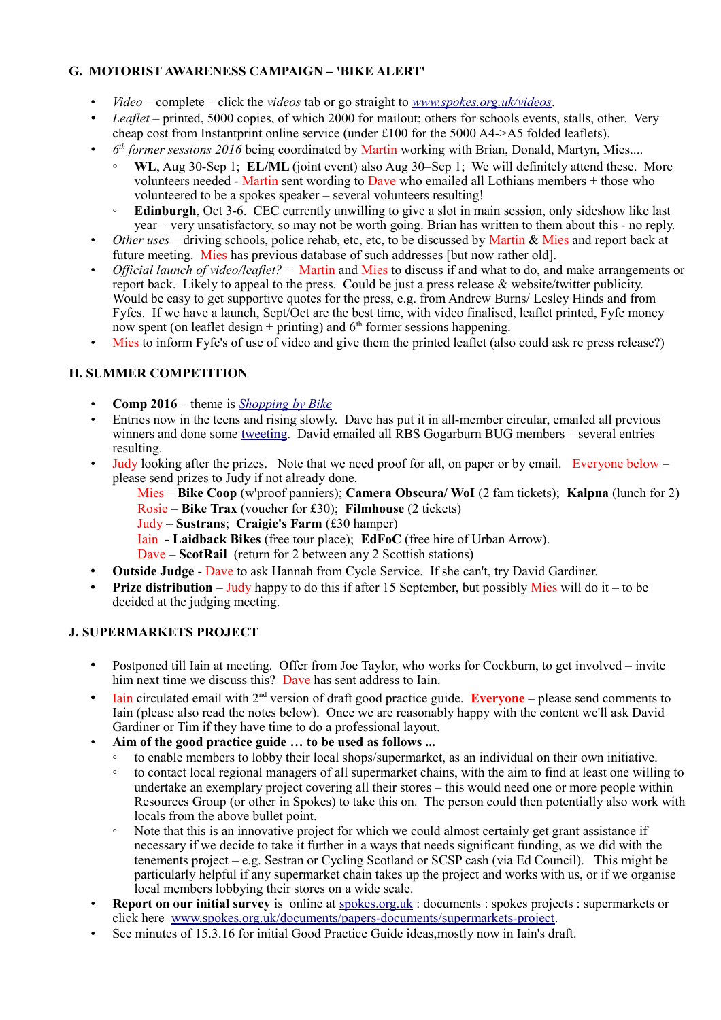# **G. MOTORIST AWARENESS CAMPAIGN – 'BIKE ALERT'**

- *Video*  complete click the *videos* tab or go straight to *[www.spokes.org.uk/videos](http://www.spokes.org.uk/videos)*.
- *Leaflet* printed, 5000 copies, of which 2000 for mailout; others for schools events, stalls, other. Very cheap cost from Instantprint online service (under £100 for the 5000 A4->A5 folded leaflets).
- *6 th former sessions 2016* being coordinated by Martin working with Brian, Donald, Martyn, Mies....
	- WL, Aug 30-Sep 1; **EL/ML** (joint event) also Aug 30–Sep 1; We will definitely attend these. More volunteers needed - Martin sent wording to Dave who emailed all Lothians members + those who volunteered to be a spokes speaker – several volunteers resulting!
	- **Edinburgh**, Oct 3-6. CEC currently unwilling to give a slot in main session, only sideshow like last year – very unsatisfactory, so may not be worth going. Brian has written to them about this - no reply.
- *Other uses* driving schools, police rehab, etc, etc, to be discussed by Martin & Mies and report back at future meeting. Mies has previous database of such addresses [but now rather old].
- *Official launch of video/leaflet?* Martin and Mies to discuss if and what to do, and make arrangements or report back. Likely to appeal to the press. Could be just a press release & website/twitter publicity. Would be easy to get supportive quotes for the press, e.g. from Andrew Burns/ Lesley Hinds and from Fyfes. If we have a launch, Sept/Oct are the best time, with video finalised, leaflet printed, Fyfe money now spent (on leaflet design + printing) and  $6<sup>th</sup>$  former sessions happening.
- Mies to inform Fyfe's of use of video and give them the printed leaflet (also could ask re press release?)

# **H. SUMMER COMPETITION**

- **Comp 2016** theme is *[Shopping by Bike](http://www.spokes.org.uk/2016/07/competition-shopping-by-bike/)*
- Entries now in the teens and rising slowly. Dave has put it in all-member circular, emailed all previous winners and done some [tweeting.](https://twitter.com/SpokesLothian/status/756451410301124608) David emailed all RBS Gogarburn BUG members – several entries resulting.
- Judy looking after the prizes. Note that we need proof for all, on paper or by email. Everyone below please send prizes to Judy if not already done.

Mies – **Bike Coop** (w'proof panniers); **Camera Obscura/ WoI** (2 fam tickets); **Kalpna** (lunch for 2) Rosie – **Bike Trax** (voucher for £30); **Filmhouse** (2 tickets)

- Judy **Sustrans**; **Craigie's Farm** (£30 hamper)
- Iain **Laidback Bikes** (free tour place); **EdFoC** (free hire of Urban Arrow).

Dave – **ScotRail** (return for 2 between any 2 Scottish stations)

- **Outside Judge** Dave to ask Hannah from Cycle Service. If she can't, try David Gardiner.
- **Prize distribution** Judy happy to do this if after 15 September, but possibly Mies will do it to be decided at the judging meeting.

# **J. SUPERMARKETS PROJECT**

- Postponed till Iain at meeting. Offer from Joe Taylor, who works for Cockburn, to get involved invite him next time we discuss this? Dave has sent address to Iain.
- Iain circulated email with 2nd version of draft good practice guide. **Everyone** please send comments to Iain (please also read the notes below). Once we are reasonably happy with the content we'll ask David Gardiner or Tim if they have time to do a professional layout.
- **Aim of the good practice guide … to be used as follows ...**
	- to enable members to lobby their local shops/supermarket, as an individual on their own initiative.
	- to contact local regional managers of all supermarket chains, with the aim to find at least one willing to undertake an exemplary project covering all their stores – this would need one or more people within Resources Group (or other in Spokes) to take this on. The person could then potentially also work with locals from the above bullet point.
	- Note that this is an innovative project for which we could almost certainly get grant assistance if necessary if we decide to take it further in a ways that needs significant funding, as we did with the tenements project – e.g. Sestran or Cycling Scotland or SCSP cash (via Ed Council). This might be particularly helpful if any supermarket chain takes up the project and works with us, or if we organise local members lobbying their stores on a wide scale.
- **Report on our initial survey** is online at [spokes.org.uk](http://spokes.org.uk/) : documents : spokes projects : supermarkets or click here [www.spokes.org.uk/documents/papers-documents/supermarkets-project.](http://www.spokes.org.uk/documents/papers-documents/supermarkets-project)
- See minutes of 15.3.16 for initial Good Practice Guide ideas, mostly now in Iain's draft.